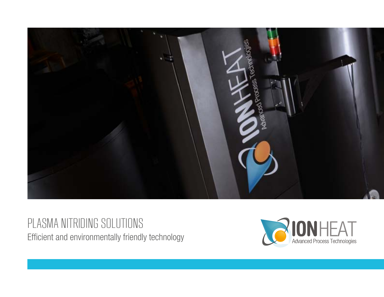

PLASMA NITRIDING SOLUTIONS Efficient and environmentally friendly technology

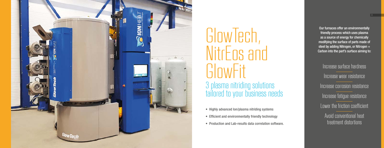Our furnaces offer an environmentally friendly process which uses plasma as a source of energy for chemically modifying the surface of parts made of steel by adding Nitrogen, or Nitrogen + Carbon into the part's surface aiming to:

Increase surface hardness Increase wear resistance Increase corrosion resistance Increase fatigue resistance Lower the friction coefficient Avoid conventional heat treatment distortions

• Highly advanced Ion/plasma nitriding systems • Efficient and environmentally friendly technology • Production and Lab-results data correlation software.



# GlowTech, NitrEos and **GlowFit** 3 plasma nitriding solutions tailored to your business needs

- 
- 
-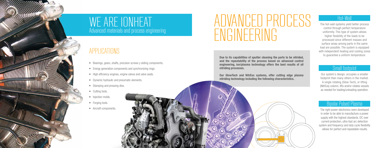

# WE ARE IONHEAT Advanced materials and process engineering

# ADVANCED PROCESS ENGINEERING

Due to its capabilities of sputter cleaning the parts to be nitrided, and the repeatability of the process based on advanced control engineering, ion/plasma technology offers the best results of all nitriding processes.

Our GlowTech and NitrEos systems, offer cutting edge plasma nitriding technology including the following characteristics.



### Hot-Wall

The hot-wall systems yield better process control through perfect temperature uniformity. This type of system allows higher flexibility of the loads to be processed since different masses and surface areas among parts in the same load are possible. The system is equipped with independent heating and cooling zones to guarantee a uniform temperature.

### Small footprint

Our system´s design, occupies a smaller footprint than many others in the market. A single rotating (Glow-Tech), or lifting (NitrEos) column, lifts and/or rotates vessels as needed for loading/unloading operation.

### Bipolar Pulsed Plasma

The right power electronics were developed in order to be able to manufacture a power supply with the highest standards. DC over current protection, ultra-fast arc detection system and frequency and duty cycle flexibility allows for perfect and repeatable results.



- Bearings, gears, shafts, precision screws y sliding components.
- Energy generation components and synchronizing rings.
- High efficiency engines, engine valves and valve seats.
- Dynamic hydraulic and pneumatic elements.
- Stamping and pressing dies.
- Cutting tools.
- Injection molds.
- Forging tools.
- Aircraft components.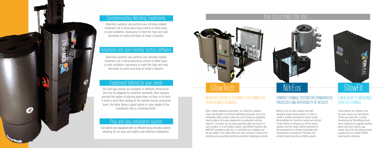

### **Complementary Nitriding Treatments**

### MODULAR SYSTEM TO ASSEMBLE THE FURNACE AS YOUR BUSINESS REQUIRES

### COMPACT FURNACE SYSTEM FOR STANDARDIZED PROCESSES AND REPEATIBILITY OF RESULTS

### A NEW HEART TO MODERNIZE YOUR OLD FURNACE



### OUR SOLUTIONS FOR YOU….

With a highly advanced automation, our GlowTech systems reach new heights in Ion/Plasma Nitriding processes. Due to its modularity, these systems allow the user to build up capabilities step by step on the same equipment as production volumes require it. The plant can be easily expanded after purchase to a semi-tandem, or a full tandem system, and different features like NADCAP compliance add-ons, or controlled post-oxidation can be also added. This model offers the most consistent results of all solutions and guarantees perfectly controlled metallurgical results. NitrEos is an all-new compact and light weighted single furnace design. In order to create it IonHeat reinvented a classic model. We simplified our GlowTech system and refined it even further to introduce an off the shelve solution into the market without detriment of the exceptional ion nitriding technology that characterizes our products. Precision and simplicity best describe our NitrEos plants.

Those pioneer Ion nitriders from the past century can still plasma nitride your parts like a champ. Introducing our Retrofitting kit will allow customers to upgrade existing plants with new controls, gas panels, top of the line plasma power supplies and our unique SCADA man/machine software.

### Plug and play installation system

Our plants are equipped with an efficient plug and play system, allowing for an easy and highly cost effective installation.

### Equipment tailored to your needs

Our bell type plants are available in different dimensions, and can be adapted to customer demands. New designs provide the option of placing plant base on floor or to have it built in such that loading of the system occurs at ground level, the latter being a good option in case height of the installation site is a limiting factor.

GlowTech systems can perform any nitriding related treatment, be it nitrocarburizing control of white layer, or post oxidation, necessary to meet the high and vast demands on parts and tools of today´s industry.

### Advanced and user-friendly control software

GlowTech systems can perform any nitriding related treatment, be it nitrocarburizing control of white layer, or post oxidation, necessary to meet the high and vast demands on parts and tools of today´s industry.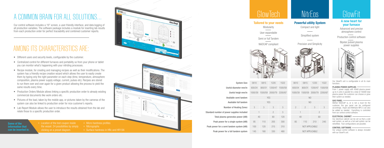| 0610       | 0815   | 1220                    | 1522 |  |  |
|------------|--------|-------------------------|------|--|--|
| 600/24     | 800/31 | 1200/47 1500/59         |      |  |  |
| 1000/39    |        | 1500/59 2000/79 2200/87 |      |  |  |
| <b>YES</b> |        |                         |      |  |  |
| <b>YES</b> |        |                         |      |  |  |
| 3          | 3      | 3                       | 3    |  |  |
| 1          |        | $\mathcal{P}$           | 3    |  |  |
| 40         |        | 80                      | 120  |  |  |
| 95         | 110    | 205                     | 300  |  |  |
| 100        | 120    | 215                     | 310  |  |  |
| 145        | 180    | 330                     | 480  |  |  |

## NitrEos GlowFit

### Tailored to your needs

**Modularity**  $\sim$ 

User expandable

Semi or full Tandem

NADCAP compliant



Useful diameter mm/in Useful heigh mm/in Peak power for a single system (kW) Peak power for a semi tandem system (kW) Peak power for a full tandem system System Size Number of Heating Zonez Available semi tandem Available full tandem Standard number of power supplies included Total plasma generatos power (kW)

### Powerful utility System

Compact and light

Simplified system

Precision and Simplicity



### A new heart for your furnace

Advanced and precise atmosphere control

Production control software

Bipolar pulsed plasma power supplies



Our GlowFit unit is configurable in all its main functions.

#### PLASMA POWER SUPPLIES

From 1 power supply with 40kW plasma power up to 4 units in parallel for a total of 160kW total plasma power the customer can choose or grow their system as needed.

#### GAS PANEL

Wether NADCAP is, or is not a must for the customer, the gas panel can be configured accordingly. Argon and Methane MFC´s can also be added as needed. Everything is controlled from our central control software.

#### ELECTRICAL CABINET

Our electrical cabinet can be set so that a cold wall system, as well as a hot wall system can be retrofitted. Fast configurations are possible.

#### CONTROL SOFTWARE

Our unique control software is always included with our GlowFit unit.

| 0610             |                | 0815 1220                       | 1522 |  |  |
|------------------|----------------|---------------------------------|------|--|--|
| 600/24           |                | 800/31 1200/47 1500/59          |      |  |  |
|                  |                | 1000/39 1500/59 2000/79 2200/87 |      |  |  |
| NO               |                |                                 |      |  |  |
| NO               |                |                                 |      |  |  |
| $\overline{2}$   | $\overline{2}$ | 3                               | 3    |  |  |
| 1                |                | $\mathcal{P}$                   |      |  |  |
| 40               |                | 80                              |      |  |  |
| 85               | 110            | 210                             | 740  |  |  |
| NOT APPLICABLE   |                |                                 |      |  |  |
| NOT APPI ICABI F |                |                                 |      |  |  |



### **GlowTech**

+ Location of the test coupon inside the vessel. 24 possibilities by simply clicking on a preset diagram.

- 
- 
- 

### AMONG ITS CHARACTERISTICS ARE:

### A COMMON BRAIN FOR ALL SOLUTIONS…

Our control software includes a 19" screen, a user-friendly interface, and data logging of all production variables. The software package includes a module for inserting lab results from each production order for perfect traceability and combined customer reports.

- Different users and security levels, configurable by the customer.
- Centralized control for different furnaces and portability so from your phone or tablet you can monitor what's happening with your nitriding processes.
- Recipe module, for creating and managing recipes as well as their modifications. The system has a friendly recipe creation wizard which allows the user to easily create them by typing only the right parameter on each step (time, temperature, atmosphere composition, plasma power supply voltage, current, pulses etc). Recipes are stored to run them over and over again for a given product allowing the process to yield the same results every time.
- Production Orders Module allows linking a specific production order to already existing commercial documents like work orders etc.
- Pictures of the load, taken by the mobile app, or pictures taken by the cameras of the system can also be linked to production order for nice customer's reports.
- Lab Report Module allows the user to introduce the results obtained from the lab and relate those to a specific production order.

Some of the information that can be inserted is: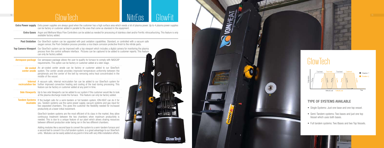### **GlowTech**

10

|                   | <b>Extra Power supply</b> Extra power supplies are always good when the customer has a high surface area which needs a lot of plasma power. Up to 4 plasma power supplies<br>can be factory or customer added in parallel to the ones that come as standard in the equipment.                                                                 |     |  |  |
|-------------------|-----------------------------------------------------------------------------------------------------------------------------------------------------------------------------------------------------------------------------------------------------------------------------------------------------------------------------------------------|-----|--|--|
|                   | <b>Extra Gases</b> Argon and Methane Mass Flow Controllers can be added as needed for processing of stainless steel and/or Ferritic nitrocarburizing. This feature is only<br>available factory added.                                                                                                                                        |     |  |  |
|                   | Post Oxidation Our GlowTech system can be upgraded with post oxidation capabilities. Standard, or controlled with a vacuum safe<br>oxygen sensor, the Post-Oxidation process provides a nice black corrosion protective finish to the nitride parts.                                                                                          |     |  |  |
|                   | Top Camera-Viewport Our GlowTech system can be improved with a top viewport which includes a digital camera for monitoring the plasma<br>process from the control software interface. Pictures can be captured to be added to customer reports. This feature<br>can only be factory added.                                                    |     |  |  |
| Aerospace package | Our aerospace package allows the user to qualify its furnace to comply with NADCAP<br>requirements. This option can be factory or customer added at a later stage.                                                                                                                                                                            |     |  |  |
|                   | Air cooled An air-cooled center anode can be factory or customer added to our GlowTech<br><b>center anode</b> system. The center anode provides improved temperature uniformity between the<br>peripherals and the center of the bell by removing extra heat concentrated in the<br>middle of the vessel.                                     |     |  |  |
|                   | <b>Internal</b> A vacuum safe, internal recirculation fan can be added to our GlowTech system for<br>recirculation fan further improved convection heating and cooling of the load during processing. This<br>feature can be factory or customer added at any point in time.                                                                  |     |  |  |
|                   | <b>Side Viewports</b> Up to two side Viewports can be added to our system if the customer would like to look<br>at the plasma discharge inside the furnace. This feature can only be factory added.                                                                                                                                           |     |  |  |
|                   | Tandem Systems If the budget calls for a semi-tandem or full tandem system, ION-HEAT can do it for<br><b>Available</b> you. Tandem systems use the same power supply, vacuum systems and gas input for<br>two separated chambers. This gives the customer the flexibility needed for increased<br>productivity at a lower initial investment. |     |  |  |
|                   | GlowTech tandem systems are the most efficient of its class in the market, they allow<br>continuous treatment between the two chambers when maximum productivity is<br>needed. This is due to a unique feature of our plant which allows sharing resources<br>between different production order being ran in the two different chambers.     |     |  |  |
|                   | Adding modules like a second base to convert the system to a semi-tandem furnace and<br>a second bell to convert it to a full tandem system, is a great advantage to our GlowTech<br>units. Modules can be easily added at any point in time with very little installation efforts.                                                           |     |  |  |
|                   |                                                                                                                                                                                                                                                                                                                                               | Glo |  |  |

### TYPE OF SYSTEMS AVAILABLE

- Single Systems: Just one base and one top vessel.
- Semi-Tandem systems: Two bases and just one top Vessel which uses both bases.
- Full tandem systems: Two Bases and two Top Vessels.



# GlowTech